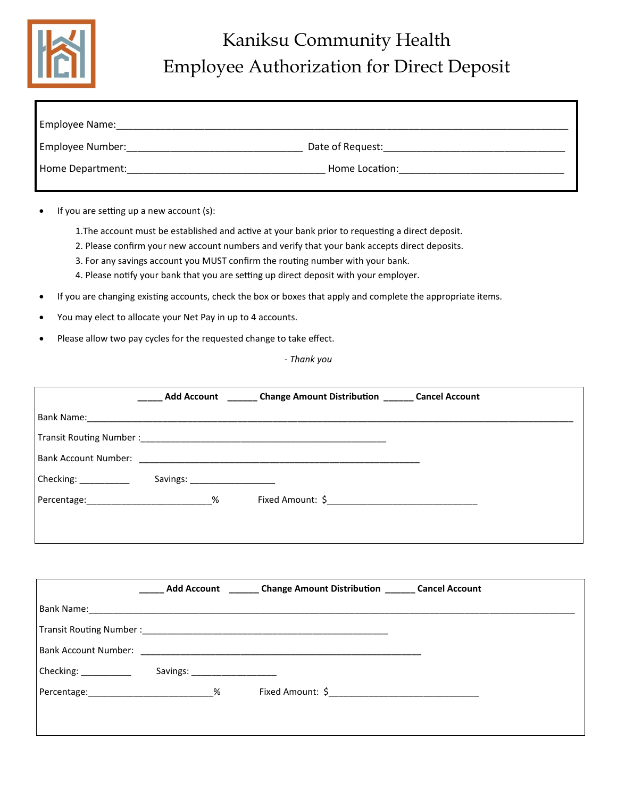

## Kaniksu Community Health Employee Authorization for Direct Deposit

| Home Location: |                                                                                                                 |
|----------------|-----------------------------------------------------------------------------------------------------------------|
|                | Date of Request: The contract of the contract of the contract of the contract of the contract of the contract o |

- If you are setting up a new account (s):
	- 1.The account must be established and active at your bank prior to requesting a direct deposit.
	- 2. Please confirm your new account numbers and verify that your bank accepts direct deposits.
	- 3. For any savings account you MUST confirm the routing number with your bank.
	- 4. Please notify your bank that you are setting up direct deposit with your employer.
- If you are changing existing accounts, check the box or boxes that apply and complete the appropriate items.
- You may elect to allocate your Net Pay in up to 4 accounts.
- Please allow two pay cycles for the requested change to take effect.

*- Thank you*

|                                            |                               | _____ Add Account ______ Change Amount Distribution ______ Cancel Account |  |
|--------------------------------------------|-------------------------------|---------------------------------------------------------------------------|--|
|                                            |                               |                                                                           |  |
|                                            |                               |                                                                           |  |
|                                            |                               |                                                                           |  |
| Checking: ____________                     | Savings: ____________________ |                                                                           |  |
| Percentage: _____________________________% |                               |                                                                           |  |
|                                            |                               |                                                                           |  |
|                                            |                               |                                                                           |  |

|                                           |                              | Add Account ________ Change Amount Distribution _______ Cancel Account |  |
|-------------------------------------------|------------------------------|------------------------------------------------------------------------|--|
|                                           |                              |                                                                        |  |
|                                           |                              |                                                                        |  |
|                                           |                              |                                                                        |  |
| Checking: ____________                    | Savings: ___________________ |                                                                        |  |
| Percentage: ____________________________% |                              |                                                                        |  |
|                                           |                              |                                                                        |  |
|                                           |                              |                                                                        |  |